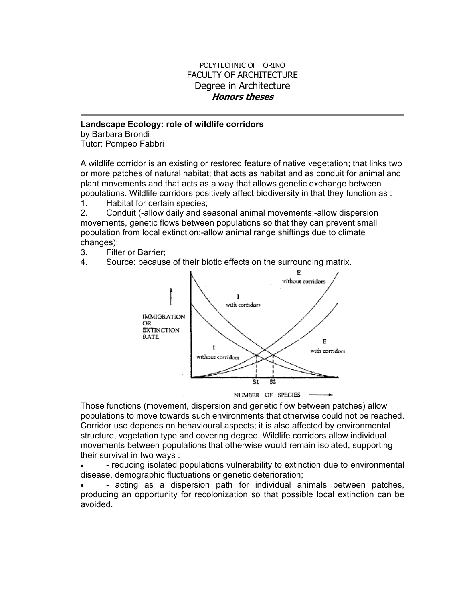## POLYTECHNIC OF TORINO FACULTY OF ARCHITECTURE Degree in Architecture **Honors theses**

## **Landscape Ecology: role of wildlife corridors**

by Barbara Brondi Tutor: Pompeo Fabbri

A wildlife corridor is an existing or restored feature of native vegetation; that links two or more patches of natural habitat; that acts as habitat and as conduit for animal and plant movements and that acts as a way that allows genetic exchange between populations. Wildlife corridors positively affect biodiversity in that they function as :

1. Habitat for certain species;

2. Conduit (-allow daily and seasonal animal movements;-allow dispersion movements, genetic flows between populations so that they can prevent small population from local extinction;-allow animal range shiftings due to climate changes);

- 3. Filter or Barrier;
- 4. Source: because of their biotic effects on the surrounding matrix.



Those functions (movement, dispersion and genetic flow between patches) allow populations to move towards such environments that otherwise could not be reached. Corridor use depends on behavioural aspects; it is also affected by environmental structure, vegetation type and covering degree. Wildlife corridors allow individual movements between populations that otherwise would remain isolated, supporting their survival in two ways :

• - reducing isolated populations vulnerability to extinction due to environmental disease, demographic fluctuations or genetic deterioration;

- acting as a dispersion path for individual animals between patches. producing an opportunity for recolonization so that possible local extinction can be avoided.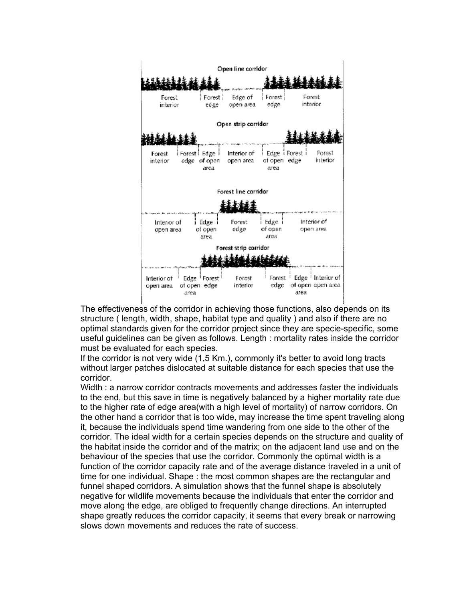

The effectiveness of the corridor in achieving those functions, also depends on its structure ( length, width, shape, habitat type and quality ) and also if there are no optimal standards given for the corridor project since they are specie-specific, some useful guidelines can be given as follows. Length : mortality rates inside the corridor must be evaluated for each species.

If the corridor is not very wide (1,5 Km.), commonly it's better to avoid long tracts without larger patches dislocated at suitable distance for each species that use the corridor.

Width : a narrow corridor contracts movements and addresses faster the individuals to the end, but this save in time is negatively balanced by a higher mortality rate due to the higher rate of edge area(with a high level of mortality) of narrow corridors. On the other hand a corridor that is too wide, may increase the time spent traveling along it, because the individuals spend time wandering from one side to the other of the corridor. The ideal width for a certain species depends on the structure and quality of the habitat inside the corridor and of the matrix; on the adjacent land use and on the behaviour of the species that use the corridor. Commonly the optimal width is a function of the corridor capacity rate and of the average distance traveled in a unit of time for one individual. Shape : the most common shapes are the rectangular and funnel shaped corridors. A simulation shows that the funnel shape is absolutely negative for wildlife movements because the individuals that enter the corridor and move along the edge, are obliged to frequently change directions. An interrupted shape greatly reduces the corridor capacity, it seems that every break or narrowing slows down movements and reduces the rate of success.